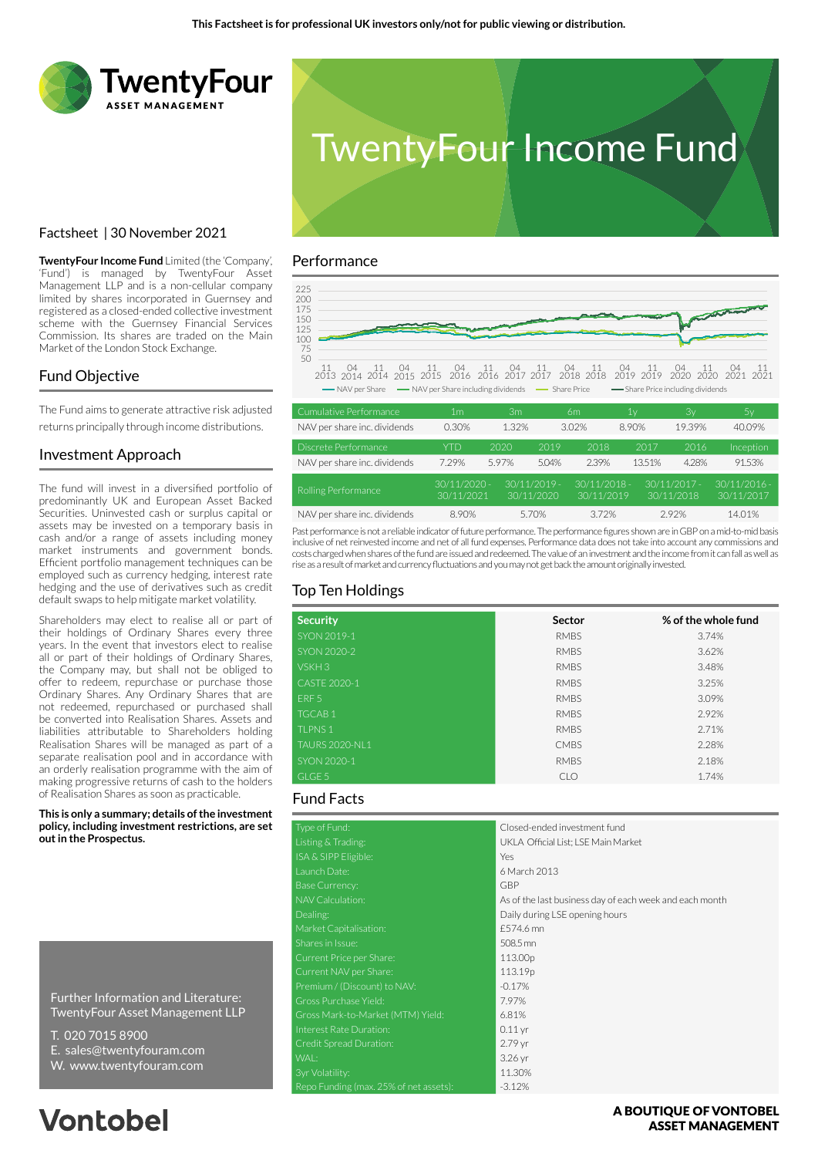

Factsheet | 30 November 2021



# Performance

**TwentyFour Income Fund** Limited (the 'Company', 'Fund') is managed by TwentyFour Asset Management LLP and is a non-cellular company limited by shares incorporated in Guernsey and registered as a closed-ended collective investment scheme with the Guernsey Financial Services Commission. Its shares are traded on the Main Market of the London Stock Exchange.

#### Fund Objective

The Fund aims to generate attractive risk adjusted returns principally through income distributions.

#### Investment Approach

The fund will invest in a diversified portfolio of predominantly UK and European Asset Backed Securities. Uninvested cash or surplus capital or assets may be invested on a temporary basis in cash and/or a range of assets including money market instruments and government bonds. Efficient portfolio management techniques can be employed such as currency hedging, interest rate hedging and the use of derivatives such as credit default swaps to help mitigate market volatility.

Shareholders may elect to realise all or part of their holdings of Ordinary Shares every three years. In the event that investors elect to realise all or part of their holdings of Ordinary Shares, the Company may, but shall not be obliged to offer to redeem, repurchase or purchase those Ordinary Shares. Any Ordinary Shares that are not redeemed, repurchased or purchased shall be converted into Realisation Shares. Assets and liabilities attributable to Shareholders holding Realisation Shares will be managed as part of a separate realisation pool and in accordance with an orderly realisation programme with the aim of making progressive returns of cash to the holders of Realisation Shares as soon as practicable.

**This is only a summary; details of the investment policy, including investment restrictions, are set out in the Prospectus.**

Further Information and Literature: TwentyFour Asset Management LLP

- T. 020 7015 8900
- E. sales@twentyfouram.com
- W. www.twentyfouram.com

# **Vontobel**



| Cumulative Performance       | 1m                           | Зm    |                              | 6m                           | 1y     | Зv                           | 5y                            |
|------------------------------|------------------------------|-------|------------------------------|------------------------------|--------|------------------------------|-------------------------------|
| NAV per share inc. dividends | 0.30%                        | 1.32% |                              | 3.02%                        | 8.90%  | 19.39%                       | 40.09%                        |
| Discrete Performance         | <b>YTD</b>                   | 2020  | 2019                         | 2018                         | 2017   | 2016                         | Inception                     |
| NAV per share inc. dividends | 7.29%                        | 5.97% | 5.04%                        | 2.39%                        | 13.51% | 4.28%                        | 91.53%                        |
| Rolling Performance          | $30/11/2020 -$<br>30/11/2021 |       | $30/11/2019 -$<br>30/11/2020 | $30/11/2018 -$<br>30/11/2019 |        | $30/11/2017 -$<br>30/11/2018 | $.30/11/2016 -$<br>30/11/2017 |
| NAV per share inc. dividends | 8.90%                        |       | 5.70%                        | 3.72%                        |        | 2.92%                        | 14.01%                        |

Past performance is not a reliable indicator of future performance. The performance figures shown are in GBP on a mid-to-mid basis inclusive of net reinvested income and net of all fund expenses. Performance data does not take into account any commissions and costs charged when shares of the fund are issued and redeemed. The value of an investment and the income from it can fall as well as rise as a result of market and currency fluctuations and you may not get back the amount originally invested.

# Top Ten Holdings

| <b>Security</b>       | Sector      | % of the whole fund |  |  |
|-----------------------|-------------|---------------------|--|--|
| SYON 2019-1           | <b>RMBS</b> | 3.74%               |  |  |
| <b>SYON 2020-2</b>    | <b>RMBS</b> | 3.62%               |  |  |
| VSKH <sub>3</sub>     | <b>RMBS</b> | 3.48%               |  |  |
| CASTE 2020-1          | <b>RMBS</b> | 3.25%               |  |  |
| ERF <sub>5</sub>      | <b>RMBS</b> | 3.09%               |  |  |
| <b>TGCAB1</b>         | <b>RMBS</b> | 2.92%               |  |  |
| <b>TLPNS1</b>         | <b>RMBS</b> | 2.71%               |  |  |
| <b>TAURS 2020-NL1</b> | <b>CMBS</b> | 2.28%               |  |  |
| SYON 2020-1           | <b>RMBS</b> | 2.18%               |  |  |
| GLGE 5                | <b>CLO</b>  | 1.74%               |  |  |

### Fund Facts

| Type of Fund:                          | Closed-ended investment fund                            |
|----------------------------------------|---------------------------------------------------------|
| Listing & Trading:                     | UKLA Official List; LSE Main Market                     |
| ISA & SIPP Eligible:                   | Yes                                                     |
| Launch Date:                           | 6 March 2013                                            |
| <b>Base Currency:</b>                  | GBP                                                     |
| NAV Calculation:                       | As of the last business day of each week and each month |
| Dealing:                               | Daily during LSE opening hours                          |
| Market Capitalisation:                 | £574.6 mn                                               |
| Shares in Issue:                       | 508.5 mn                                                |
| Current Price per Share:               | 113.00p                                                 |
| Current NAV per Share:                 | 113.19p                                                 |
| Premium / (Discount) to NAV:           | $-0.17%$                                                |
| Gross Purchase Yield:                  | 7.97%                                                   |
| Gross Mark-to-Market (MTM) Yield:      | 6.81%                                                   |
| Interest Rate Duration:                | $0.11$ yr                                               |
| Credit Spread Duration:                | 2.79 yr                                                 |
| WAL:                                   | 3.26 yr                                                 |
| 3yr Volatility:                        | 11.30%                                                  |
| Repo Funding (max. 25% of net assets): | $-3.12%$                                                |

#### A BOUTIOUE OF VONTOBEL **ASSET MANAGEMENT**